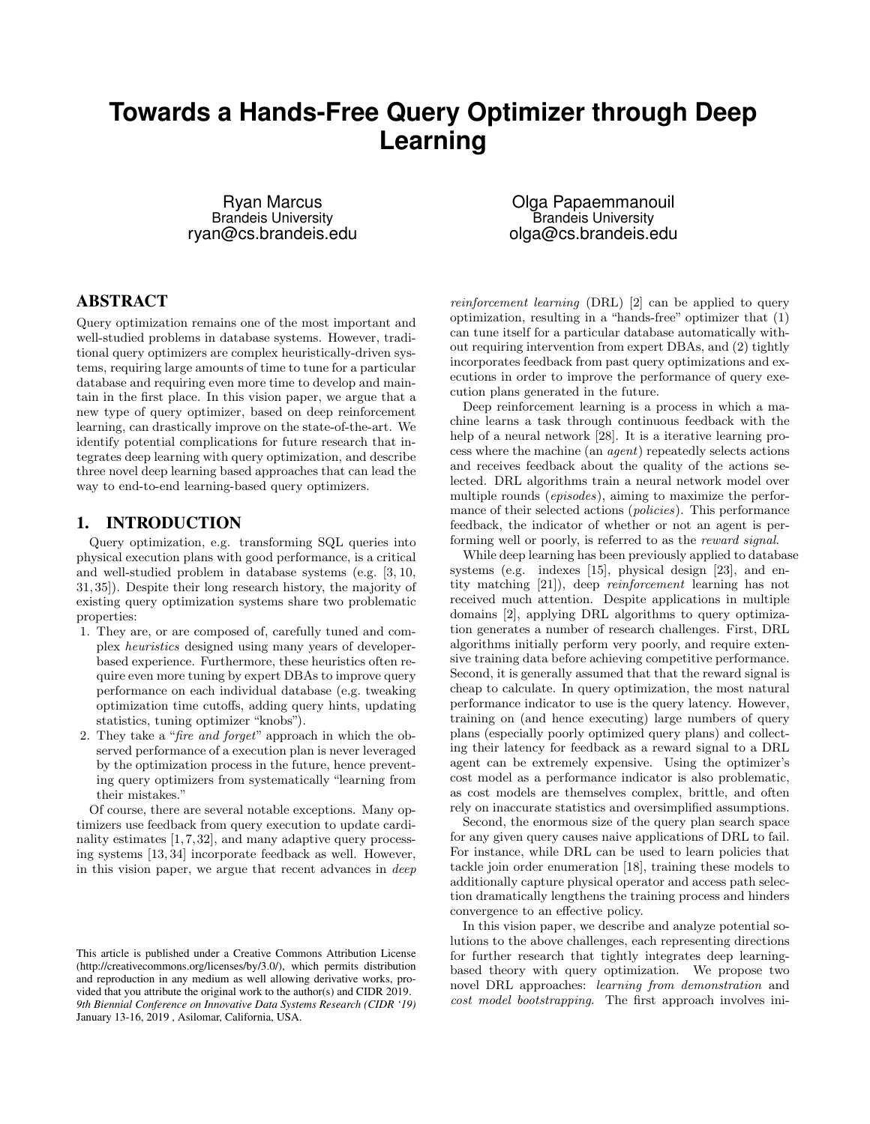# **Towards a Hands-Free Query Optimizer through Deep Learning**

Ryan Marcus Brandeis University ryan@cs.brandeis.edu

Olga Papaemmanouil Brandeis University olga@cs.brandeis.edu

## ABSTRACT

Query optimization remains one of the most important and well-studied problems in database systems. However, traditional query optimizers are complex heuristically-driven systems, requiring large amounts of time to tune for a particular database and requiring even more time to develop and maintain in the first place. In this vision paper, we argue that a new type of query optimizer, based on deep reinforcement learning, can drastically improve on the state-of-the-art. We identify potential complications for future research that integrates deep learning with query optimization, and describe three novel deep learning based approaches that can lead the way to end-to-end learning-based query optimizers.

## 1. INTRODUCTION

Query optimization, e.g. transforming SQL queries into physical execution plans with good performance, is a critical and well-studied problem in database systems (e.g. [3, 10, 31, 35]). Despite their long research history, the majority of existing query optimization systems share two problematic properties:

- 1. They are, or are composed of, carefully tuned and complex heuristics designed using many years of developerbased experience. Furthermore, these heuristics often require even more tuning by expert DBAs to improve query performance on each individual database (e.g. tweaking optimization time cutoffs, adding query hints, updating statistics, tuning optimizer "knobs").
- 2. They take a "fire and forget" approach in which the observed performance of a execution plan is never leveraged by the optimization process in the future, hence preventing query optimizers from systematically "learning from their mistakes."

Of course, there are several notable exceptions. Many optimizers use feedback from query execution to update cardinality estimates  $[1, 7, 32]$ , and many adaptive query processing systems [13, 34] incorporate feedback as well. However, in this vision paper, we argue that recent advances in deep

reinforcement learning (DRL) [2] can be applied to query optimization, resulting in a "hands-free" optimizer that (1) can tune itself for a particular database automatically without requiring intervention from expert DBAs, and (2) tightly incorporates feedback from past query optimizations and executions in order to improve the performance of query execution plans generated in the future.

Deep reinforcement learning is a process in which a machine learns a task through continuous feedback with the help of a neural network [28]. It is a iterative learning process where the machine (an agent) repeatedly selects actions and receives feedback about the quality of the actions selected. DRL algorithms train a neural network model over multiple rounds (episodes), aiming to maximize the performance of their selected actions (policies). This performance feedback, the indicator of whether or not an agent is performing well or poorly, is referred to as the reward signal.

While deep learning has been previously applied to database systems (e.g. indexes [15], physical design [23], and entity matching [21]), deep reinforcement learning has not received much attention. Despite applications in multiple domains [2], applying DRL algorithms to query optimization generates a number of research challenges. First, DRL algorithms initially perform very poorly, and require extensive training data before achieving competitive performance. Second, it is generally assumed that that the reward signal is cheap to calculate. In query optimization, the most natural performance indicator to use is the query latency. However, training on (and hence executing) large numbers of query plans (especially poorly optimized query plans) and collecting their latency for feedback as a reward signal to a DRL agent can be extremely expensive. Using the optimizer's cost model as a performance indicator is also problematic, as cost models are themselves complex, brittle, and often rely on inaccurate statistics and oversimplified assumptions.

Second, the enormous size of the query plan search space for any given query causes naive applications of DRL to fail. For instance, while DRL can be used to learn policies that tackle join order enumeration [18], training these models to additionally capture physical operator and access path selection dramatically lengthens the training process and hinders convergence to an effective policy.

In this vision paper, we describe and analyze potential solutions to the above challenges, each representing directions for further research that tightly integrates deep learningbased theory with query optimization. We propose two novel DRL approaches: learning from demonstration and cost model bootstrapping. The first approach involves ini-

This article is published under a Creative Commons Attribution License (http://creativecommons.org/licenses/by/3.0/), which permits distribution and reproduction in any medium as well allowing derivative works, provided that you attribute the original work to the author(s) and CIDR 2019. *9th Biennial Conference on Innovative Data Systems Research (CIDR '19)* January 13-16, 2019 , Asilomar, California, USA.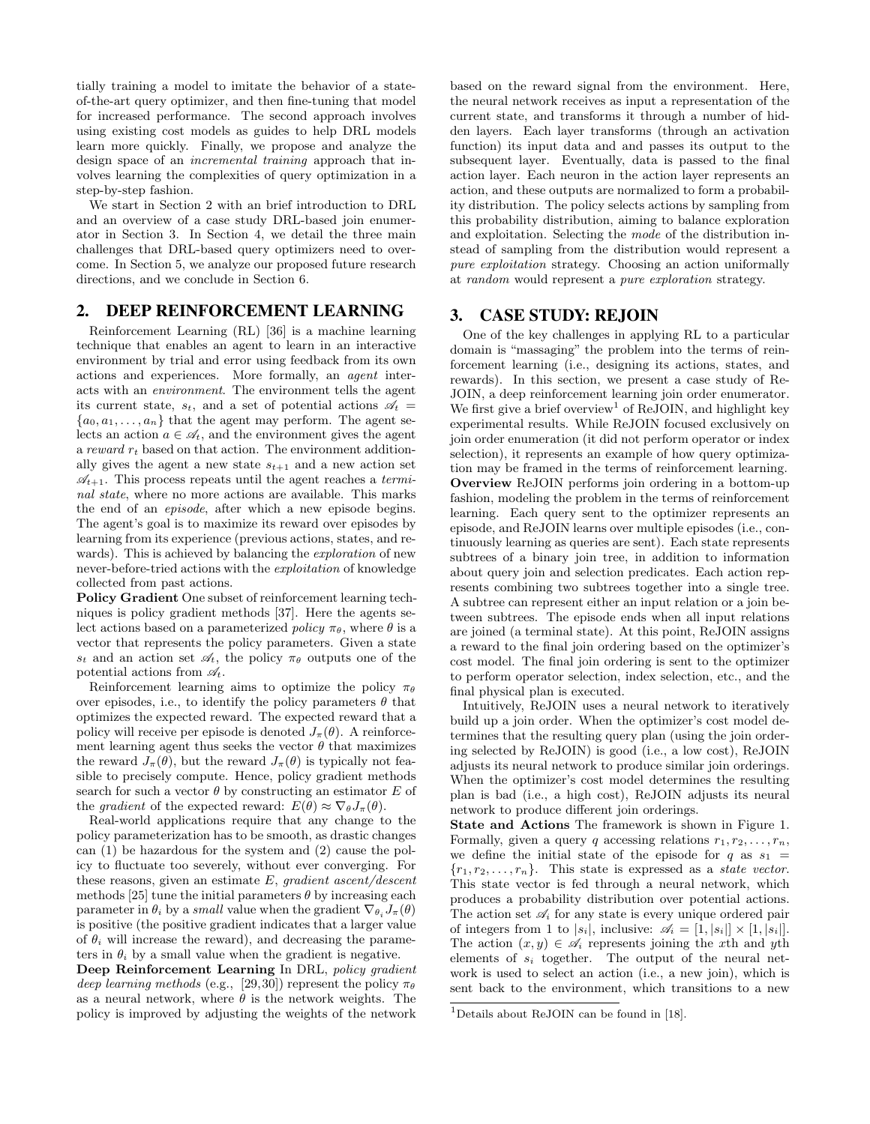tially training a model to imitate the behavior of a stateof-the-art query optimizer, and then fine-tuning that model for increased performance. The second approach involves using existing cost models as guides to help DRL models learn more quickly. Finally, we propose and analyze the design space of an incremental training approach that involves learning the complexities of query optimization in a step-by-step fashion.

We start in Section 2 with an brief introduction to DRL and an overview of a case study DRL-based join enumerator in Section 3. In Section 4, we detail the three main challenges that DRL-based query optimizers need to overcome. In Section 5, we analyze our proposed future research directions, and we conclude in Section 6.

## 2. DEEP REINFORCEMENT LEARNING

Reinforcement Learning (RL) [36] is a machine learning technique that enables an agent to learn in an interactive environment by trial and error using feedback from its own actions and experiences. More formally, an agent interacts with an environment. The environment tells the agent its current state,  $s_t$ , and a set of potential actions  $\mathscr{A}_t =$  ${a_0, a_1, \ldots, a_n}$  that the agent may perform. The agent selects an action  $a \in \mathcal{A}_t$ , and the environment gives the agent a reward  $r_t$  based on that action. The environment additionally gives the agent a new state  $s_{t+1}$  and a new action set  $\mathcal{A}_{t+1}$ . This process repeats until the agent reaches a *termi*nal state, where no more actions are available. This marks the end of an episode, after which a new episode begins. The agent's goal is to maximize its reward over episodes by learning from its experience (previous actions, states, and rewards). This is achieved by balancing the exploration of new never-before-tried actions with the exploitation of knowledge collected from past actions.

Policy Gradient One subset of reinforcement learning techniques is policy gradient methods [37]. Here the agents select actions based on a parameterized policy  $\pi_{\theta}$ , where  $\theta$  is a vector that represents the policy parameters. Given a state  $s_t$  and an action set  $\mathscr{A}_t$ , the policy  $\pi_\theta$  outputs one of the potential actions from  $\mathscr{A}_t$ .

Reinforcement learning aims to optimize the policy  $\pi_{\theta}$ over episodes, i.e., to identify the policy parameters  $\theta$  that optimizes the expected reward. The expected reward that a policy will receive per episode is denoted  $J_{\pi}(\theta)$ . A reinforcement learning agent thus seeks the vector  $\theta$  that maximizes the reward  $J_{\pi}(\theta)$ , but the reward  $J_{\pi}(\theta)$  is typically not feasible to precisely compute. Hence, policy gradient methods search for such a vector  $\theta$  by constructing an estimator E of the *gradient* of the expected reward:  $E(\theta) \approx \nabla_{\theta} J_{\pi}(\theta)$ .

Real-world applications require that any change to the policy parameterization has to be smooth, as drastic changes can (1) be hazardous for the system and (2) cause the policy to fluctuate too severely, without ever converging. For these reasons, given an estimate  $E$ , gradient ascent/descent methods [25] tune the initial parameters  $\theta$  by increasing each parameter in  $\theta_i$  by a *small* value when the gradient  $\nabla_{\theta_i} J_{\pi}(\theta)$ is positive (the positive gradient indicates that a larger value of  $\theta_i$  will increase the reward), and decreasing the parameters in  $\theta_i$  by a small value when the gradient is negative.

Deep Reinforcement Learning In DRL, policy gradient deep learning methods (e.g., [29,30]) represent the policy  $\pi_{\theta}$ as a neural network, where  $\theta$  is the network weights. The policy is improved by adjusting the weights of the network based on the reward signal from the environment. Here, the neural network receives as input a representation of the current state, and transforms it through a number of hidden layers. Each layer transforms (through an activation function) its input data and and passes its output to the subsequent layer. Eventually, data is passed to the final action layer. Each neuron in the action layer represents an action, and these outputs are normalized to form a probability distribution. The policy selects actions by sampling from this probability distribution, aiming to balance exploration and exploitation. Selecting the mode of the distribution instead of sampling from the distribution would represent a pure exploitation strategy. Choosing an action uniformally at random would represent a pure exploration strategy.

## 3. CASE STUDY: REJOIN

One of the key challenges in applying RL to a particular domain is "massaging" the problem into the terms of reinforcement learning (i.e., designing its actions, states, and rewards). In this section, we present a case study of Re-JOIN, a deep reinforcement learning join order enumerator. We first give a brief overview<sup>1</sup> of ReJOIN, and highlight key experimental results. While ReJOIN focused exclusively on join order enumeration (it did not perform operator or index selection), it represents an example of how query optimization may be framed in the terms of reinforcement learning. Overview ReJOIN performs join ordering in a bottom-up fashion, modeling the problem in the terms of reinforcement learning. Each query sent to the optimizer represents an episode, and ReJOIN learns over multiple episodes (i.e., continuously learning as queries are sent). Each state represents subtrees of a binary join tree, in addition to information about query join and selection predicates. Each action represents combining two subtrees together into a single tree. A subtree can represent either an input relation or a join between subtrees. The episode ends when all input relations are joined (a terminal state). At this point, ReJOIN assigns a reward to the final join ordering based on the optimizer's cost model. The final join ordering is sent to the optimizer to perform operator selection, index selection, etc., and the final physical plan is executed.

Intuitively, ReJOIN uses a neural network to iteratively build up a join order. When the optimizer's cost model determines that the resulting query plan (using the join ordering selected by ReJOIN) is good (i.e., a low cost), ReJOIN adjusts its neural network to produce similar join orderings. When the optimizer's cost model determines the resulting plan is bad (i.e., a high cost), ReJOIN adjusts its neural network to produce different join orderings.

State and Actions The framework is shown in Figure 1. Formally, given a query q accessing relations  $r_1, r_2, \ldots, r_n$ , we define the initial state of the episode for q as  $s_1$  =  ${r_1, r_2, \ldots, r_n}$ . This state is expressed as a *state vector*. This state vector is fed through a neural network, which produces a probability distribution over potential actions. The action set  $\mathscr{A}_i$  for any state is every unique ordered pair of integers from 1 to  $|s_i|$ , inclusive:  $\mathscr{A}_i = [1, |s_i|] \times [1, |s_i|]$ . The action  $(x, y) \in \mathscr{A}_i$  represents joining the x<sup>th</sup> and y<sup>th</sup> elements of  $s_i$  together. The output of the neural network is used to select an action (i.e., a new join), which is sent back to the environment, which transitions to a new

<sup>&</sup>lt;sup>1</sup>Details about ReJOIN can be found in [18].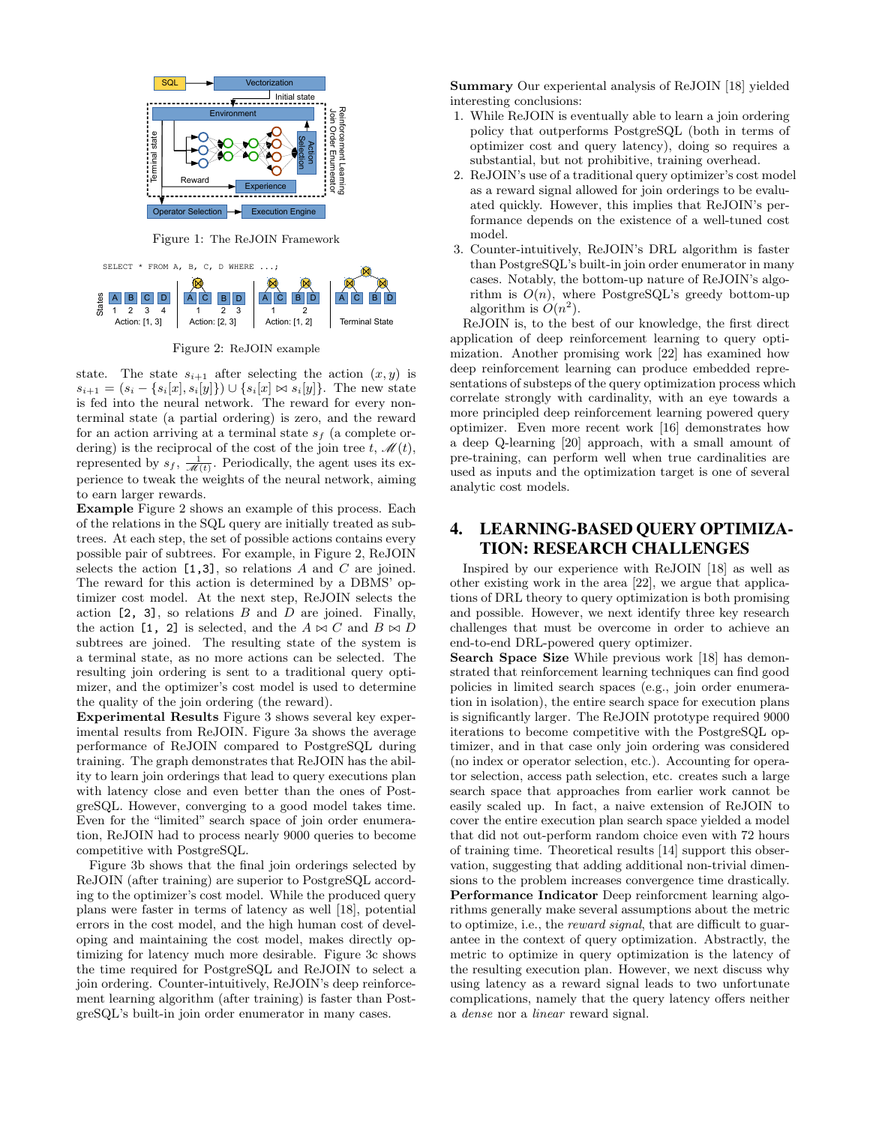

Figure 1: The ReJOIN Framework



Figure 2: ReJOIN example

state. The state  $s_{i+1}$  after selecting the action  $(x, y)$  is  $s_{i+1} = (s_i - \{s_i[x], s_i[y]\}) \cup \{s_i[x] \bowtie s_i[y]\}.$  The new state is fed into the neural network. The reward for every nonterminal state (a partial ordering) is zero, and the reward for an action arriving at a terminal state  $s_f$  (a complete ordering) is the reciprocal of the cost of the join tree t,  $\mathscr{M}(t)$ , represented by  $s_f$ ,  $\frac{1}{\mathcal{M}(t)}$ . Periodically, the agent uses its experience to tweak the weights of the neural network, aiming to earn larger rewards.

Example Figure 2 shows an example of this process. Each of the relations in the SQL query are initially treated as subtrees. At each step, the set of possible actions contains every possible pair of subtrees. For example, in Figure 2, ReJOIN selects the action  $[1,3]$ , so relations A and C are joined. The reward for this action is determined by a DBMS' optimizer cost model. At the next step, ReJOIN selects the action  $[2, 3]$ , so relations B and D are joined. Finally, the action [1, 2] is selected, and the  $A \bowtie C$  and  $B \bowtie D$ subtrees are joined. The resulting state of the system is a terminal state, as no more actions can be selected. The resulting join ordering is sent to a traditional query optimizer, and the optimizer's cost model is used to determine the quality of the join ordering (the reward).

Experimental Results Figure 3 shows several key experimental results from ReJOIN. Figure 3a shows the average performance of ReJOIN compared to PostgreSQL during training. The graph demonstrates that ReJOIN has the ability to learn join orderings that lead to query executions plan with latency close and even better than the ones of PostgreSQL. However, converging to a good model takes time. Even for the "limited" search space of join order enumeration, ReJOIN had to process nearly 9000 queries to become competitive with PostgreSQL.

Figure 3b shows that the final join orderings selected by ReJOIN (after training) are superior to PostgreSQL according to the optimizer's cost model. While the produced query plans were faster in terms of latency as well [18], potential errors in the cost model, and the high human cost of developing and maintaining the cost model, makes directly optimizing for latency much more desirable. Figure 3c shows the time required for PostgreSQL and ReJOIN to select a join ordering. Counter-intuitively, ReJOIN's deep reinforcement learning algorithm (after training) is faster than PostgreSQL's built-in join order enumerator in many cases.

Summary Our experiental analysis of ReJOIN [18] yielded interesting conclusions:

- 1. While ReJOIN is eventually able to learn a join ordering policy that outperforms PostgreSQL (both in terms of optimizer cost and query latency), doing so requires a substantial, but not prohibitive, training overhead.
- 2. ReJOIN's use of a traditional query optimizer's cost model as a reward signal allowed for join orderings to be evaluated quickly. However, this implies that ReJOIN's performance depends on the existence of a well-tuned cost model.
- 3. Counter-intuitively, ReJOIN's DRL algorithm is faster than PostgreSQL's built-in join order enumerator in many cases. Notably, the bottom-up nature of ReJOIN's algorithm is  $O(n)$ , where PostgreSQL's greedy bottom-up algorithm is  $O(n^2)$ .

ReJOIN is, to the best of our knowledge, the first direct application of deep reinforcement learning to query optimization. Another promising work [22] has examined how deep reinforcement learning can produce embedded representations of substeps of the query optimization process which correlate strongly with cardinality, with an eye towards a more principled deep reinforcement learning powered query optimizer. Even more recent work [16] demonstrates how a deep Q-learning [20] approach, with a small amount of pre-training, can perform well when true cardinalities are used as inputs and the optimization target is one of several analytic cost models.

# 4. LEARNING-BASED QUERY OPTIMIZA-TION: RESEARCH CHALLENGES

Inspired by our experience with ReJOIN [18] as well as other existing work in the area [22], we argue that applications of DRL theory to query optimization is both promising and possible. However, we next identify three key research challenges that must be overcome in order to achieve an end-to-end DRL-powered query optimizer.

Search Space Size While previous work [18] has demonstrated that reinforcement learning techniques can find good policies in limited search spaces (e.g., join order enumeration in isolation), the entire search space for execution plans is significantly larger. The ReJOIN prototype required 9000 iterations to become competitive with the PostgreSQL optimizer, and in that case only join ordering was considered (no index or operator selection, etc.). Accounting for operator selection, access path selection, etc. creates such a large search space that approaches from earlier work cannot be easily scaled up. In fact, a naive extension of ReJOIN to cover the entire execution plan search space yielded a model that did not out-perform random choice even with 72 hours of training time. Theoretical results [14] support this observation, suggesting that adding additional non-trivial dimensions to the problem increases convergence time drastically. Performance Indicator Deep reinforcment learning algorithms generally make several assumptions about the metric to optimize, i.e., the reward signal, that are difficult to guarantee in the context of query optimization. Abstractly, the metric to optimize in query optimization is the latency of the resulting execution plan. However, we next discuss why using latency as a reward signal leads to two unfortunate complications, namely that the query latency offers neither a dense nor a linear reward signal.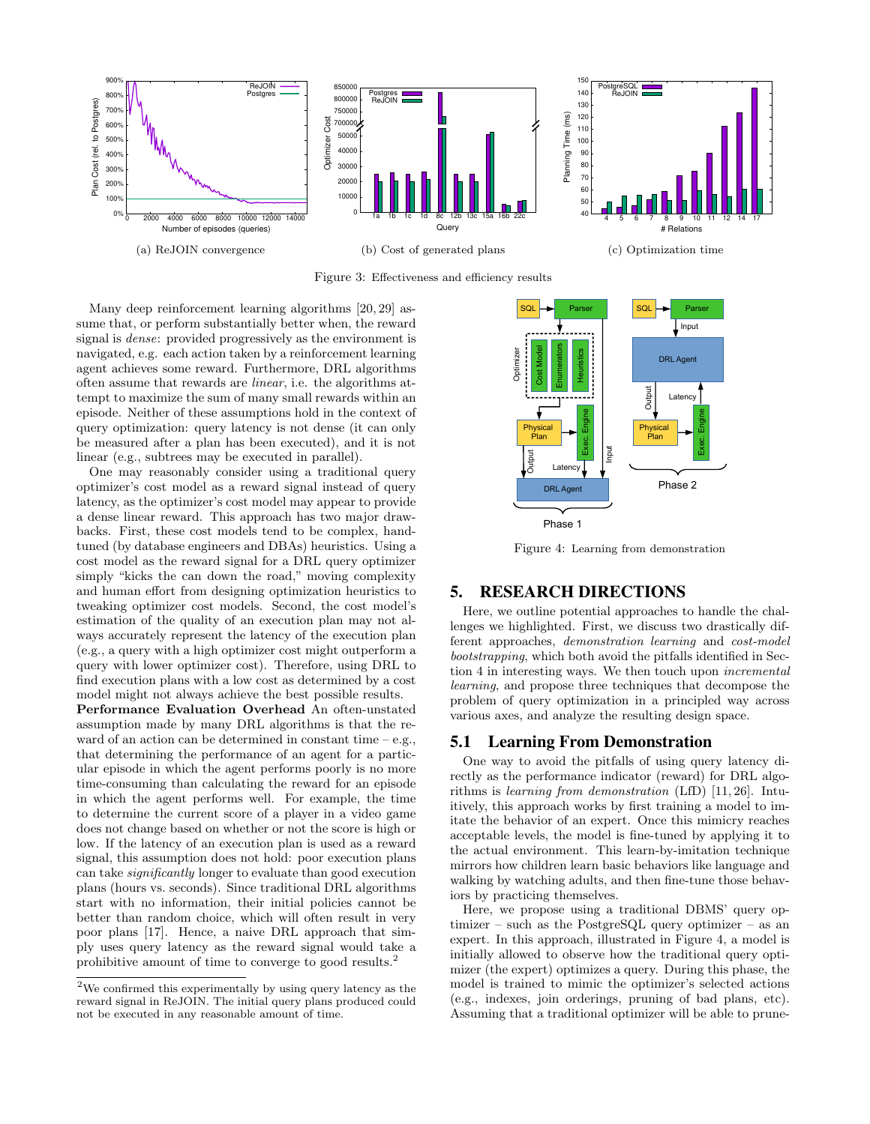

Figure 3: Effectiveness and efficiency results

Many deep reinforcement learning algorithms [20, 29] assume that, or perform substantially better when, the reward signal is dense: provided progressively as the environment is navigated, e.g. each action taken by a reinforcement learning agent achieves some reward. Furthermore, DRL algorithms often assume that rewards are linear, i.e. the algorithms attempt to maximize the sum of many small rewards within an episode. Neither of these assumptions hold in the context of query optimization: query latency is not dense (it can only be measured after a plan has been executed), and it is not linear (e.g., subtrees may be executed in parallel).

One may reasonably consider using a traditional query optimizer's cost model as a reward signal instead of query latency, as the optimizer's cost model may appear to provide a dense linear reward. This approach has two major drawbacks. First, these cost models tend to be complex, handtuned (by database engineers and DBAs) heuristics. Using a cost model as the reward signal for a DRL query optimizer simply "kicks the can down the road," moving complexity and human effort from designing optimization heuristics to tweaking optimizer cost models. Second, the cost model's estimation of the quality of an execution plan may not always accurately represent the latency of the execution plan (e.g., a query with a high optimizer cost might outperform a query with lower optimizer cost). Therefore, using DRL to find execution plans with a low cost as determined by a cost model might not always achieve the best possible results.

Performance Evaluation Overhead An often-unstated assumption made by many DRL algorithms is that the reward of an action can be determined in constant time – e.g., that determining the performance of an agent for a particular episode in which the agent performs poorly is no more time-consuming than calculating the reward for an episode in which the agent performs well. For example, the time to determine the current score of a player in a video game does not change based on whether or not the score is high or low. If the latency of an execution plan is used as a reward signal, this assumption does not hold: poor execution plans can take significantly longer to evaluate than good execution plans (hours vs. seconds). Since traditional DRL algorithms start with no information, their initial policies cannot be better than random choice, which will often result in very poor plans [17]. Hence, a naive DRL approach that simply uses query latency as the reward signal would take a prohibitive amount of time to converge to good results.<sup>2</sup>



Figure 4: Learning from demonstration

## 5. RESEARCH DIRECTIONS

Here, we outline potential approaches to handle the challenges we highlighted. First, we discuss two drastically different approaches, demonstration learning and cost-model bootstrapping, which both avoid the pitfalls identified in Section 4 in interesting ways. We then touch upon incremental learning, and propose three techniques that decompose the problem of query optimization in a principled way across various axes, and analyze the resulting design space.

## 5.1 Learning From Demonstration

One way to avoid the pitfalls of using query latency directly as the performance indicator (reward) for DRL algorithms is learning from demonstration (LfD) [11, 26]. Intuitively, this approach works by first training a model to imitate the behavior of an expert. Once this mimicry reaches acceptable levels, the model is fine-tuned by applying it to the actual environment. This learn-by-imitation technique mirrors how children learn basic behaviors like language and walking by watching adults, and then fine-tune those behaviors by practicing themselves.

Here, we propose using a traditional DBMS' query optimizer – such as the PostgreSQL query optimizer – as an expert. In this approach, illustrated in Figure 4, a model is initially allowed to observe how the traditional query optimizer (the expert) optimizes a query. During this phase, the model is trained to mimic the optimizer's selected actions (e.g., indexes, join orderings, pruning of bad plans, etc). Assuming that a traditional optimizer will be able to prune-

 $^2\rm{We}$  confirmed this experimentally by using query latency as the reward signal in ReJOIN. The initial query plans produced could not be executed in any reasonable amount of time.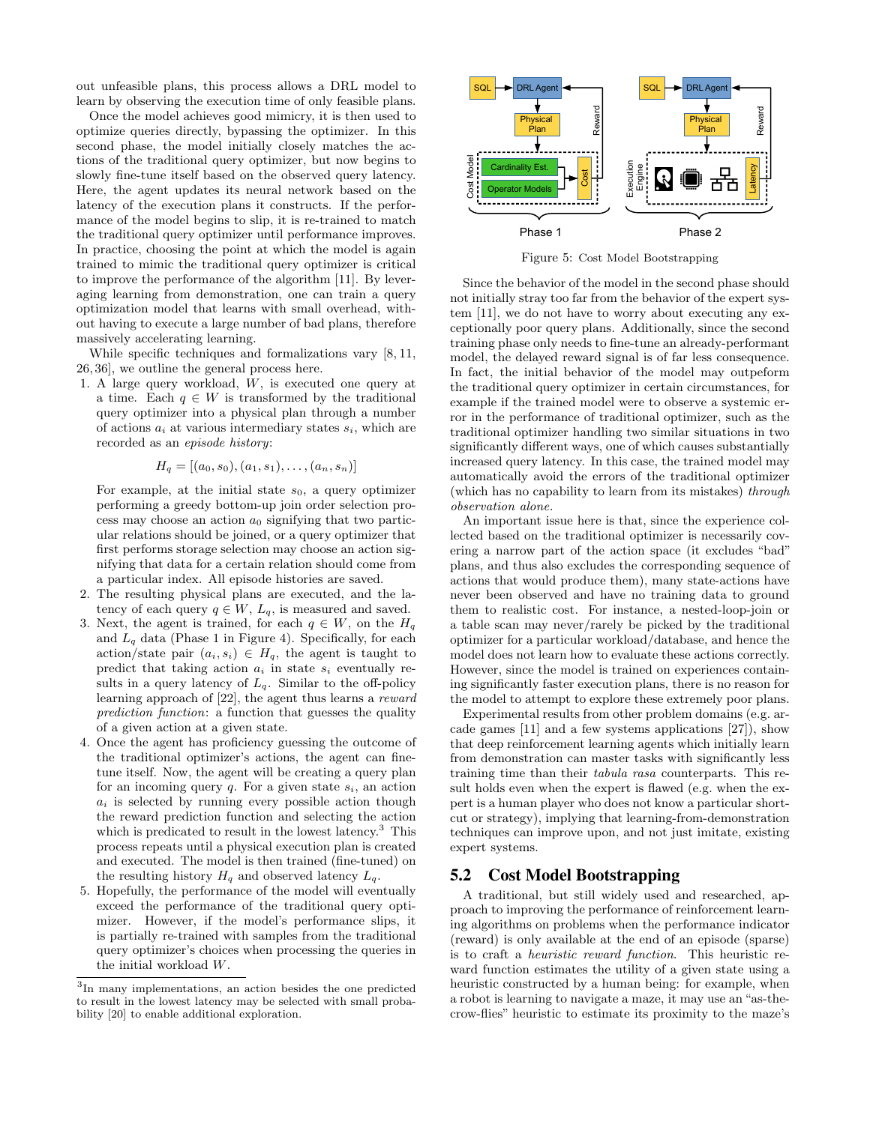out unfeasible plans, this process allows a DRL model to learn by observing the execution time of only feasible plans.

Once the model achieves good mimicry, it is then used to optimize queries directly, bypassing the optimizer. In this second phase, the model initially closely matches the actions of the traditional query optimizer, but now begins to slowly fine-tune itself based on the observed query latency. Here, the agent updates its neural network based on the latency of the execution plans it constructs. If the performance of the model begins to slip, it is re-trained to match the traditional query optimizer until performance improves. In practice, choosing the point at which the model is again trained to mimic the traditional query optimizer is critical to improve the performance of the algorithm [11]. By leveraging learning from demonstration, one can train a query optimization model that learns with small overhead, without having to execute a large number of bad plans, therefore massively accelerating learning.

While specific techniques and formalizations vary [8, 11, 26, 36], we outline the general process here.

1. A large query workload, W, is executed one query at a time. Each  $q \in W$  is transformed by the traditional query optimizer into a physical plan through a number of actions  $a_i$  at various intermediary states  $s_i$ , which are recorded as an episode history:

$$
H_q = [(a_0, s_0), (a_1, s_1), \ldots, (a_n, s_n)]
$$

For example, at the initial state  $s_0$ , a query optimizer performing a greedy bottom-up join order selection process may choose an action  $a_0$  signifying that two particular relations should be joined, or a query optimizer that first performs storage selection may choose an action signifying that data for a certain relation should come from a particular index. All episode histories are saved.

- 2. The resulting physical plans are executed, and the latency of each query  $q \in W$ ,  $L_q$ , is measured and saved.
- 3. Next, the agent is trained, for each  $q \in W$ , on the  $H_q$ and  $L_q$  data (Phase 1 in Figure 4). Specifically, for each action/state pair  $(a_i, s_i) \in H_q$ , the agent is taught to predict that taking action  $a_i$  in state  $s_i$  eventually results in a query latency of  $L_q$ . Similar to the off-policy learning approach of [22], the agent thus learns a reward prediction function: a function that guesses the quality of a given action at a given state.
- 4. Once the agent has proficiency guessing the outcome of the traditional optimizer's actions, the agent can finetune itself. Now, the agent will be creating a query plan for an incoming query  $q$ . For a given state  $s_i$ , an action  $a_i$  is selected by running every possible action though the reward prediction function and selecting the action which is predicated to result in the lowest latency.<sup>3</sup> This process repeats until a physical execution plan is created and executed. The model is then trained (fine-tuned) on the resulting history  $H_q$  and observed latency  $L_q$ .
- 5. Hopefully, the performance of the model will eventually exceed the performance of the traditional query optimizer. However, if the model's performance slips, it is partially re-trained with samples from the traditional query optimizer's choices when processing the queries in the initial workload W.



Figure 5: Cost Model Bootstrapping

Since the behavior of the model in the second phase should not initially stray too far from the behavior of the expert system [11], we do not have to worry about executing any exceptionally poor query plans. Additionally, since the second training phase only needs to fine-tune an already-performant model, the delayed reward signal is of far less consequence. In fact, the initial behavior of the model may outpeform the traditional query optimizer in certain circumstances, for example if the trained model were to observe a systemic error in the performance of traditional optimizer, such as the traditional optimizer handling two similar situations in two significantly different ways, one of which causes substantially increased query latency. In this case, the trained model may automatically avoid the errors of the traditional optimizer (which has no capability to learn from its mistakes) through observation alone.

An important issue here is that, since the experience collected based on the traditional optimizer is necessarily covering a narrow part of the action space (it excludes "bad" plans, and thus also excludes the corresponding sequence of actions that would produce them), many state-actions have never been observed and have no training data to ground them to realistic cost. For instance, a nested-loop-join or a table scan may never/rarely be picked by the traditional optimizer for a particular workload/database, and hence the model does not learn how to evaluate these actions correctly. However, since the model is trained on experiences containing significantly faster execution plans, there is no reason for the model to attempt to explore these extremely poor plans.

Experimental results from other problem domains (e.g. arcade games [11] and a few systems applications [27]), show that deep reinforcement learning agents which initially learn from demonstration can master tasks with significantly less training time than their tabula rasa counterparts. This result holds even when the expert is flawed (e.g. when the expert is a human player who does not know a particular shortcut or strategy), implying that learning-from-demonstration techniques can improve upon, and not just imitate, existing expert systems.

#### 5.2 Cost Model Bootstrapping

A traditional, but still widely used and researched, approach to improving the performance of reinforcement learning algorithms on problems when the performance indicator (reward) is only available at the end of an episode (sparse) is to craft a heuristic reward function. This heuristic reward function estimates the utility of a given state using a heuristic constructed by a human being: for example, when a robot is learning to navigate a maze, it may use an "as-thecrow-flies" heuristic to estimate its proximity to the maze's

<sup>3</sup> In many implementations, an action besides the one predicted to result in the lowest latency may be selected with small probability [20] to enable additional exploration.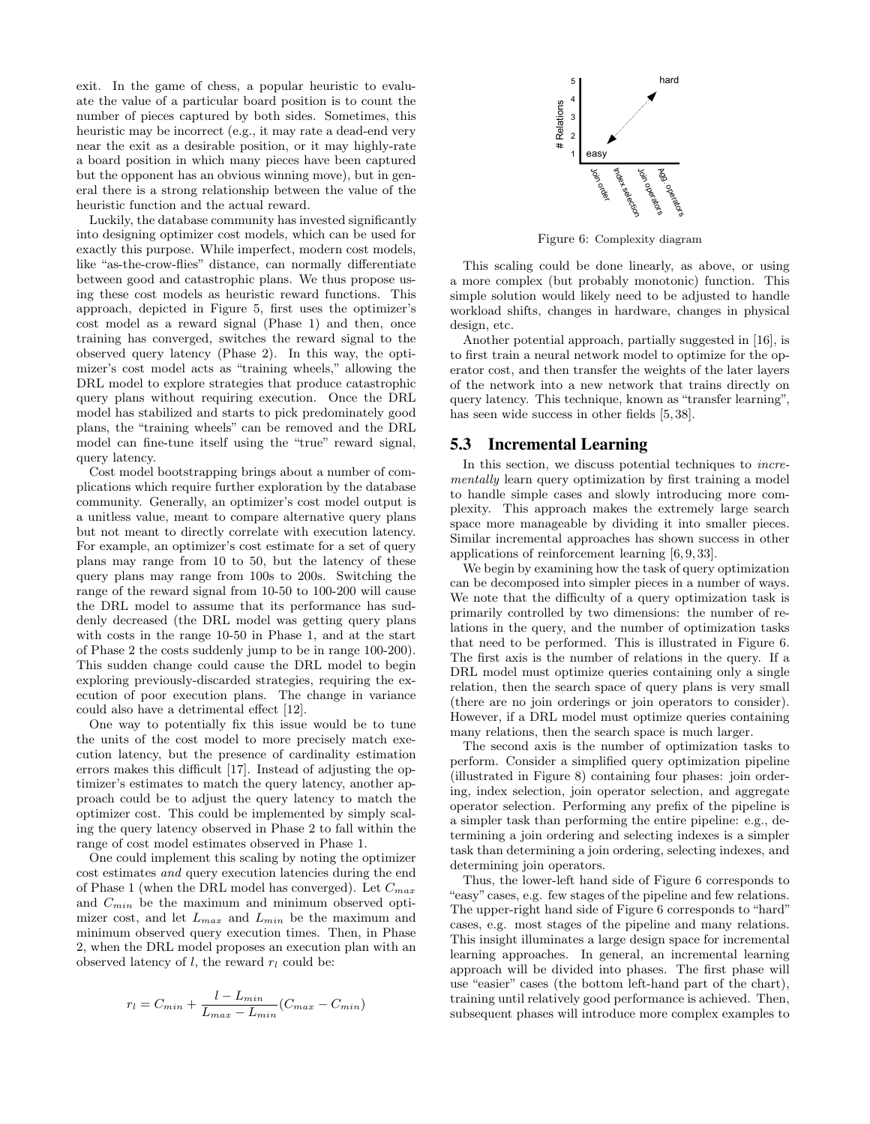exit. In the game of chess, a popular heuristic to evaluate the value of a particular board position is to count the number of pieces captured by both sides. Sometimes, this heuristic may be incorrect (e.g., it may rate a dead-end very near the exit as a desirable position, or it may highly-rate a board position in which many pieces have been captured but the opponent has an obvious winning move), but in general there is a strong relationship between the value of the heuristic function and the actual reward.

Luckily, the database community has invested significantly into designing optimizer cost models, which can be used for exactly this purpose. While imperfect, modern cost models, like "as-the-crow-flies" distance, can normally differentiate between good and catastrophic plans. We thus propose using these cost models as heuristic reward functions. This approach, depicted in Figure 5, first uses the optimizer's cost model as a reward signal (Phase 1) and then, once training has converged, switches the reward signal to the observed query latency (Phase 2). In this way, the optimizer's cost model acts as "training wheels," allowing the DRL model to explore strategies that produce catastrophic query plans without requiring execution. Once the DRL model has stabilized and starts to pick predominately good plans, the "training wheels" can be removed and the DRL model can fine-tune itself using the "true" reward signal, query latency.

Cost model bootstrapping brings about a number of complications which require further exploration by the database community. Generally, an optimizer's cost model output is a unitless value, meant to compare alternative query plans but not meant to directly correlate with execution latency. For example, an optimizer's cost estimate for a set of query plans may range from 10 to 50, but the latency of these query plans may range from 100s to 200s. Switching the range of the reward signal from 10-50 to 100-200 will cause the DRL model to assume that its performance has suddenly decreased (the DRL model was getting query plans with costs in the range 10-50 in Phase 1, and at the start of Phase 2 the costs suddenly jump to be in range 100-200). This sudden change could cause the DRL model to begin exploring previously-discarded strategies, requiring the execution of poor execution plans. The change in variance could also have a detrimental effect [12].

One way to potentially fix this issue would be to tune the units of the cost model to more precisely match execution latency, but the presence of cardinality estimation errors makes this difficult [17]. Instead of adjusting the optimizer's estimates to match the query latency, another approach could be to adjust the query latency to match the optimizer cost. This could be implemented by simply scaling the query latency observed in Phase 2 to fall within the range of cost model estimates observed in Phase 1.

One could implement this scaling by noting the optimizer cost estimates and query execution latencies during the end of Phase 1 (when the DRL model has converged). Let  $C_{max}$ and  $C_{min}$  be the maximum and minimum observed optimizer cost, and let  $L_{max}$  and  $L_{min}$  be the maximum and minimum observed query execution times. Then, in Phase 2, when the DRL model proposes an execution plan with an observed latency of  $l$ , the reward  $r_l$  could be:

$$
r_l = C_{min} + \frac{l - L_{min}}{L_{max} - L_{min}}(C_{max} - C_{min})
$$



Figure 6: Complexity diagram

This scaling could be done linearly, as above, or using a more complex (but probably monotonic) function. This simple solution would likely need to be adjusted to handle workload shifts, changes in hardware, changes in physical design, etc.

Another potential approach, partially suggested in [16], is to first train a neural network model to optimize for the operator cost, and then transfer the weights of the later layers of the network into a new network that trains directly on query latency. This technique, known as "transfer learning", has seen wide success in other fields [5, 38].

#### 5.3 Incremental Learning

In this section, we discuss potential techniques to *incre*mentally learn query optimization by first training a model to handle simple cases and slowly introducing more complexity. This approach makes the extremely large search space more manageable by dividing it into smaller pieces. Similar incremental approaches has shown success in other applications of reinforcement learning [6, 9, 33].

We begin by examining how the task of query optimization can be decomposed into simpler pieces in a number of ways. We note that the difficulty of a query optimization task is primarily controlled by two dimensions: the number of relations in the query, and the number of optimization tasks that need to be performed. This is illustrated in Figure 6. The first axis is the number of relations in the query. If a DRL model must optimize queries containing only a single relation, then the search space of query plans is very small (there are no join orderings or join operators to consider). However, if a DRL model must optimize queries containing many relations, then the search space is much larger.

The second axis is the number of optimization tasks to perform. Consider a simplified query optimization pipeline (illustrated in Figure 8) containing four phases: join ordering, index selection, join operator selection, and aggregate operator selection. Performing any prefix of the pipeline is a simpler task than performing the entire pipeline: e.g., determining a join ordering and selecting indexes is a simpler task than determining a join ordering, selecting indexes, and determining join operators.

Thus, the lower-left hand side of Figure 6 corresponds to "easy" cases, e.g. few stages of the pipeline and few relations. The upper-right hand side of Figure 6 corresponds to "hard" cases, e.g. most stages of the pipeline and many relations. This insight illuminates a large design space for incremental learning approaches. In general, an incremental learning approach will be divided into phases. The first phase will use "easier" cases (the bottom left-hand part of the chart), training until relatively good performance is achieved. Then, subsequent phases will introduce more complex examples to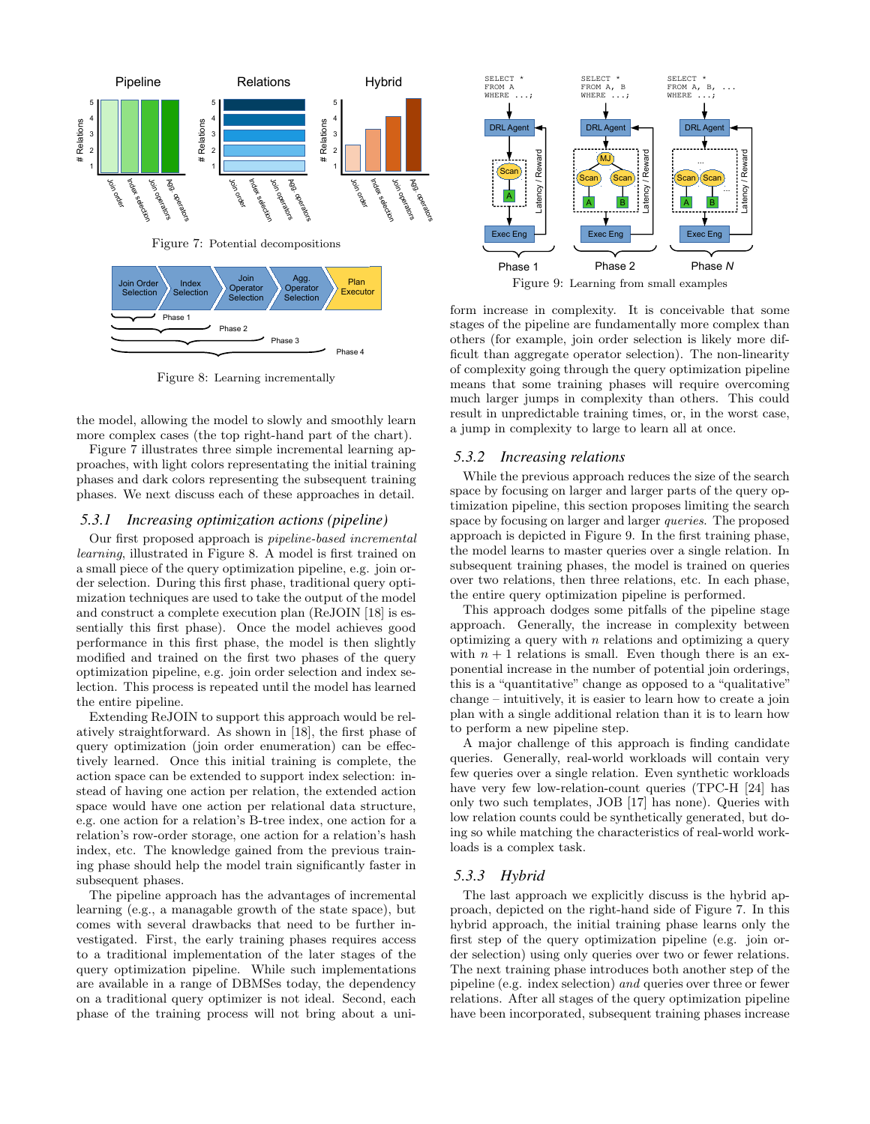

Figure 8: Learning incrementally

the model, allowing the model to slowly and smoothly learn more complex cases (the top right-hand part of the chart).

Figure 7 illustrates three simple incremental learning approaches, with light colors representating the initial training phases and dark colors representing the subsequent training phases. We next discuss each of these approaches in detail.

#### *5.3.1 Increasing optimization actions (pipeline)*

Our first proposed approach is pipeline-based incremental learning, illustrated in Figure 8. A model is first trained on a small piece of the query optimization pipeline, e.g. join order selection. During this first phase, traditional query optimization techniques are used to take the output of the model and construct a complete execution plan (ReJOIN [18] is essentially this first phase). Once the model achieves good performance in this first phase, the model is then slightly modified and trained on the first two phases of the query optimization pipeline, e.g. join order selection and index selection. This process is repeated until the model has learned the entire pipeline.

Extending ReJOIN to support this approach would be relatively straightforward. As shown in [18], the first phase of query optimization (join order enumeration) can be effectively learned. Once this initial training is complete, the action space can be extended to support index selection: instead of having one action per relation, the extended action space would have one action per relational data structure, e.g. one action for a relation's B-tree index, one action for a relation's row-order storage, one action for a relation's hash index, etc. The knowledge gained from the previous training phase should help the model train significantly faster in subsequent phases.

The pipeline approach has the advantages of incremental learning (e.g., a managable growth of the state space), but comes with several drawbacks that need to be further investigated. First, the early training phases requires access to a traditional implementation of the later stages of the query optimization pipeline. While such implementations are available in a range of DBMSes today, the dependency on a traditional query optimizer is not ideal. Second, each phase of the training process will not bring about a uni-



Figure 9: Learning from small examples

form increase in complexity. It is conceivable that some stages of the pipeline are fundamentally more complex than others (for example, join order selection is likely more difficult than aggregate operator selection). The non-linearity of complexity going through the query optimization pipeline means that some training phases will require overcoming much larger jumps in complexity than others. This could result in unpredictable training times, or, in the worst case, a jump in complexity to large to learn all at once.

#### *5.3.2 Increasing relations*

While the previous approach reduces the size of the search space by focusing on larger and larger parts of the query optimization pipeline, this section proposes limiting the search space by focusing on larger and larger queries. The proposed approach is depicted in Figure 9. In the first training phase, the model learns to master queries over a single relation. In subsequent training phases, the model is trained on queries over two relations, then three relations, etc. In each phase, the entire query optimization pipeline is performed.

This approach dodges some pitfalls of the pipeline stage approach. Generally, the increase in complexity between optimizing a query with  $n$  relations and optimizing a query with  $n + 1$  relations is small. Even though there is an exponential increase in the number of potential join orderings, this is a "quantitative" change as opposed to a "qualitative" change – intuitively, it is easier to learn how to create a join plan with a single additional relation than it is to learn how to perform a new pipeline step.

A major challenge of this approach is finding candidate queries. Generally, real-world workloads will contain very few queries over a single relation. Even synthetic workloads have very few low-relation-count queries (TPC-H [24] has only two such templates, JOB [17] has none). Queries with low relation counts could be synthetically generated, but doing so while matching the characteristics of real-world workloads is a complex task.

#### *5.3.3 Hybrid*

The last approach we explicitly discuss is the hybrid approach, depicted on the right-hand side of Figure 7. In this hybrid approach, the initial training phase learns only the first step of the query optimization pipeline (e.g. join order selection) using only queries over two or fewer relations. The next training phase introduces both another step of the pipeline (e.g. index selection) and queries over three or fewer relations. After all stages of the query optimization pipeline have been incorporated, subsequent training phases increase